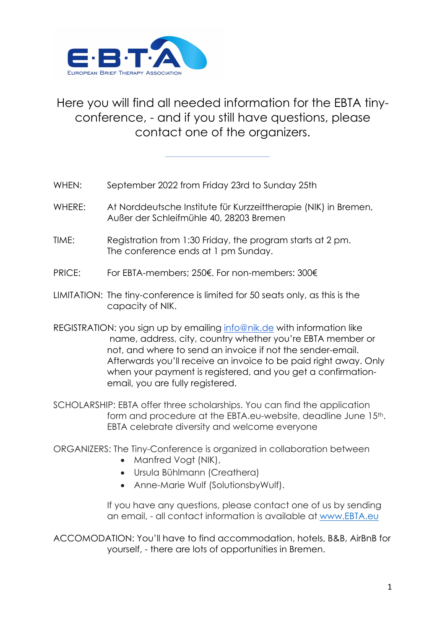

## Here you will find all needed information for the EBTA tinyconference, - and if you still have questions, please contact one of the organizers.

- WHEN: September 2022 from Friday 23rd to Sunday 25th
- WHERE: At Norddeutsche Institute für Kurzzeittherapie (NIK) in Bremen, Außer der Schleifmühle 40, 28203 Bremen
- TIME: Registration from 1:30 Friday, the program starts at 2 pm. The conference ends at 1 pm Sunday.
- PRICE: For EBTA-members; 250€. For non-members: 300€
- LIMITATION: The tiny-conference is limited for 50 seats only, as this is the capacity of NIK.
- REGISTRATION: you sign up by emailing info@nik.de with information like name, address, city, country whether you're EBTA member or not, and where to send an invoice if not the sender-email. Afterwards you'll receive an invoice to be paid right away. Only when your payment is registered, and you get a confirmationemail, you are fully registered.
- SCHOLARSHIP: EBTA offer three scholarships. You can find the application form and procedure at the EBTA.eu-website, deadline June 15<sup>th</sup>. EBTA celebrate diversity and welcome everyone
- ORGANIZERS: The Tiny-Conference is organized in collaboration between
	- Manfred Vogt (NIK),
	- Ursula Bühlmann (Creathera)
	- Anne-Marie Wulf (SolutionsbyWulf).

If you have any questions, please contact one of us by sending an email, - all contact information is available at www.EBTA.eu

ACCOMODATION: You'll have to find accommodation, hotels, B&B, AirBnB for yourself, - there are lots of opportunities in Bremen.